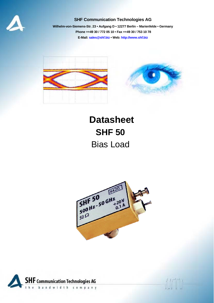

### **SHF Communication Technologies AG**

**Wilhelm-von-Siemens-Str. 23 • Aufgang D • 12277 Berlin – Marienfelde • Germany Phone ++49 30 / 772 05 10 • Fax ++49 30 / 753 10 78 E-Mail: sales@shf.biz • Web: http://www.shf.biz**



# **Datasheet SHF 50**  Bias Load



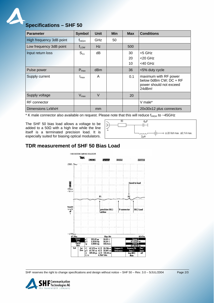

# **Specifications – SHF 50**

| <b>Parameter</b>         | <b>Symbol</b>    | <b>Unit</b> | <b>Min</b> | <b>Max</b> | <b>Conditions</b>                                                                    |
|--------------------------|------------------|-------------|------------|------------|--------------------------------------------------------------------------------------|
| High frequency 3dB point | <b>t</b> нісн    | <b>GHz</b>  | 50         |            |                                                                                      |
| Low frequency 3dB point  | $t_{LOW}$        | Hz          |            | 500        |                                                                                      |
| Input return loss        | $S_{11}$         | dB          |            | 30         | <5 GHz                                                                               |
|                          |                  |             |            | 20         | $<$ 20 GHz                                                                           |
|                          |                  |             |            | 10         | $<$ 40 GHz                                                                           |
| Pulse power              | $P_{\text{max}}$ | dBm         |            | 36         | <5% duty cycle                                                                       |
| Supply current           | $I_{\text{max}}$ | A           |            | 0.1        | maximum with RF power<br>below 0dBm CW; DC + RF<br>power should not exceed<br>24dBm! |
| Supply voltage           | $V_{\text{max}}$ | $\vee$      |            | 20         |                                                                                      |
| <b>RF</b> connector      |                  |             |            |            | V male*                                                                              |
| Dimensions LxWxH         |                  | mm          |            |            | 20x30x12 plus connectors                                                             |

\* K male connector also available on request. Please note that this will reduce  $f_{HIGH}$  to ~45GHz

The SHF 50 bias load allows a voltage to be added to a 50 $\Omega$  with a high line while the line itself is a terminated precision load. It is especially suited for biasing optical modulators.



## **TDR measurement of SHF 50 Bias Load**



SHF reserves the right to change specifications and design without notice – SHF 50 – Rev. 3.0 – 5/JUL/2004 Page 2/3